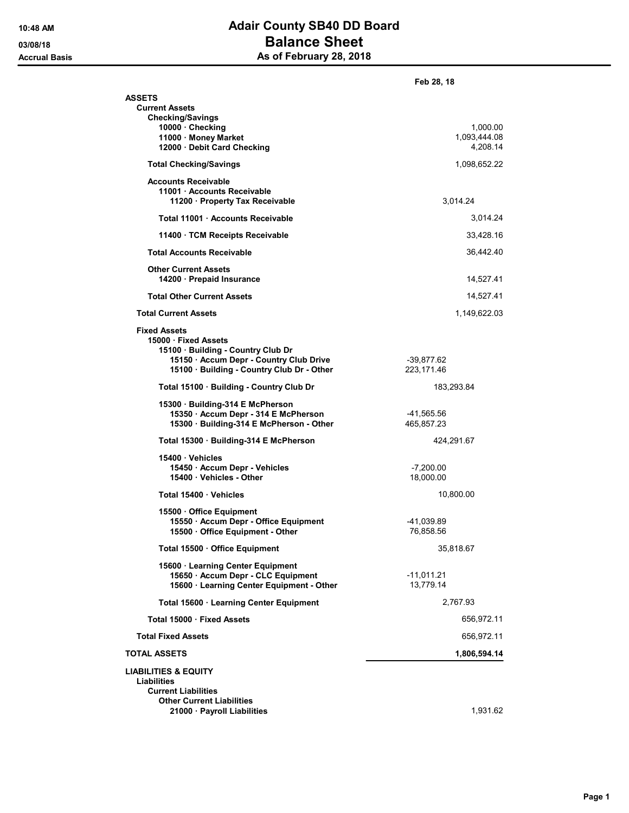## 10:48 AM **Adair County SB40 DD Board** 03/08/18 **Balance Sheet** Accrual Basis **Accrual Basis** As of February 28, 2018

|                                                                                                                                                                          | Feb 28, 18                           |
|--------------------------------------------------------------------------------------------------------------------------------------------------------------------------|--------------------------------------|
| <b>ASSETS</b><br><b>Current Assets</b><br><b>Checking/Savings</b>                                                                                                        |                                      |
| 10000 · Checking<br>11000 · Money Market<br>12000 · Debit Card Checking                                                                                                  | 1,000.00<br>1,093,444.08<br>4,208.14 |
| <b>Total Checking/Savings</b>                                                                                                                                            | 1,098,652.22                         |
| <b>Accounts Receivable</b><br>11001 Accounts Receivable<br>11200 · Property Tax Receivable                                                                               | 3,014.24                             |
| Total 11001 · Accounts Receivable                                                                                                                                        | 3,014.24                             |
| 11400 · TCM Receipts Receivable                                                                                                                                          | 33,428.16                            |
| <b>Total Accounts Receivable</b>                                                                                                                                         | 36,442.40                            |
| <b>Other Current Assets</b><br>14200 Prepaid Insurance                                                                                                                   | 14,527.41                            |
| <b>Total Other Current Assets</b>                                                                                                                                        | 14,527.41                            |
| <b>Total Current Assets</b>                                                                                                                                              | 1,149,622.03                         |
| <b>Fixed Assets</b><br>15000 Fixed Assets<br>15100 · Building - Country Club Dr<br>15150 · Accum Depr - Country Club Drive<br>15100 · Building - Country Club Dr - Other | -39,877.62<br>223,171.46             |
| Total 15100 · Building - Country Club Dr                                                                                                                                 | 183,293.84                           |
| 15300 · Building-314 E McPherson<br>15350 · Accum Depr - 314 E McPherson<br>15300 · Building-314 E McPherson - Other                                                     | -41,565.56<br>465,857.23             |
| Total 15300 · Building-314 E McPherson                                                                                                                                   | 424,291.67                           |
| 15400 Vehicles<br>15450 · Accum Depr - Vehicles<br>15400 · Vehicles - Other                                                                                              | $-7,200.00$<br>18,000.00             |
| Total 15400 Vehicles                                                                                                                                                     | 10,800.00                            |
| 15500 Office Equipment<br>15550 · Accum Depr - Office Equipment<br>15500 Office Equipment - Other                                                                        | -41,039.89<br>76,858.56              |
| Total 15500 · Office Equipment                                                                                                                                           | 35,818.67                            |
| 15600 · Learning Center Equipment<br>15650 · Accum Depr - CLC Equipment<br>15600 · Learning Center Equipment - Other                                                     | -11,011.21<br>13,779.14              |
| Total 15600 · Learning Center Equipment                                                                                                                                  | 2.767.93                             |
| Total 15000 · Fixed Assets                                                                                                                                               | 656,972.11                           |
| <b>Total Fixed Assets</b>                                                                                                                                                | 656,972.11                           |
| <b>TOTAL ASSETS</b>                                                                                                                                                      | 1,806,594.14                         |
| <b>LIABILITIES &amp; EQUITY</b><br>Liabilities<br><b>Current Liabilities</b>                                                                                             |                                      |
| <b>Other Current Liabilities</b><br>21000 · Payroll Liabilities                                                                                                          | 1,931.62                             |